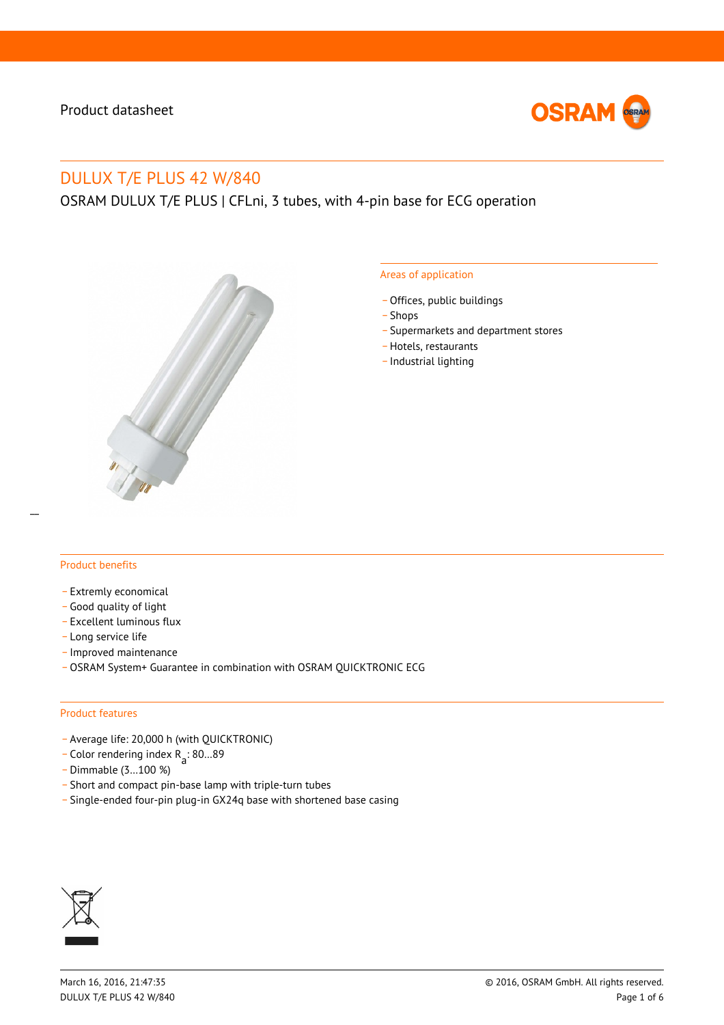

# DULUX T/E PLUS 42 W/840

OSRAM DULUX T/E PLUS | CFLni, 3 tubes, with 4-pin base for ECG operation



#### Areas of application

- Offices, public buildings
- \_ Shops
- \_ Supermarkets and department stores
- \_ Hotels, restaurants
- \_ Industrial lighting

#### Product benefits

- Extremly economical
- \_ Good quality of light
- \_ Excellent luminous flux
- Long service life
- \_ Improved maintenance
- \_ OSRAM System+ Guarantee in combination with OSRAM QUICKTRONIC ECG

#### Product features

- \_ Average life: 20,000 h (with QUICKTRONIC)
- $\overline{C}$  Color rendering index R<sub>a</sub>: 80...89
- \_ Dimmable (3…100 %)
- \_ Short and compact pin-base lamp with triple-turn tubes
- \_ Single-ended four-pin plug-in GX24q base with shortened base casing

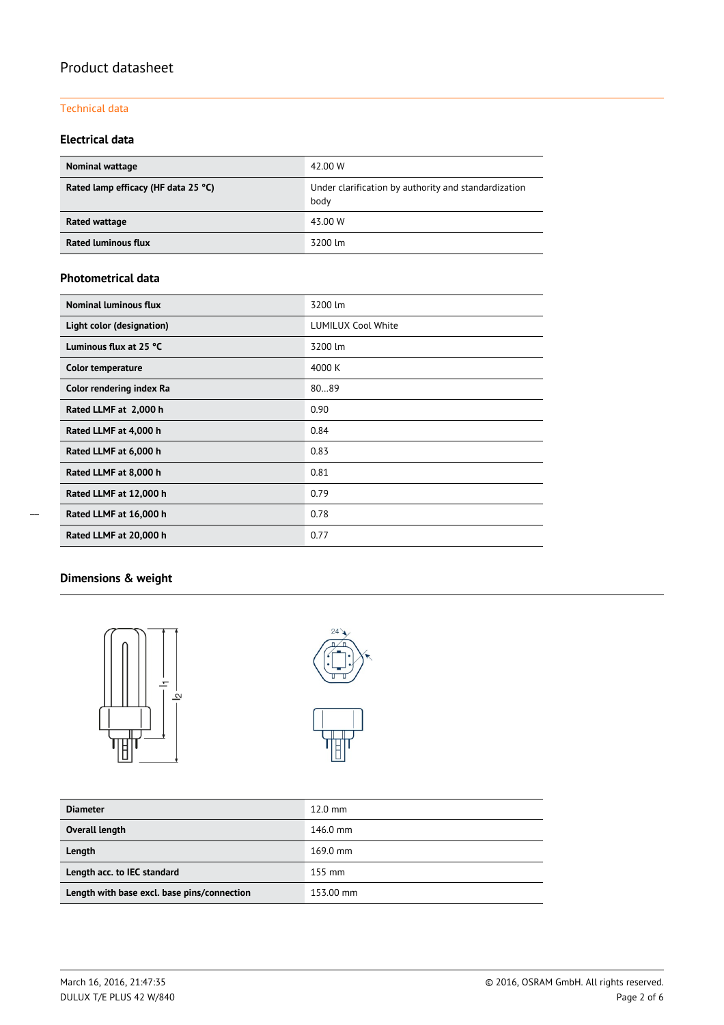## Technical data

## **Electrical data**

| <b>Nominal wattage</b>              | 42.00 W                                                      |  |  |  |
|-------------------------------------|--------------------------------------------------------------|--|--|--|
| Rated lamp efficacy (HF data 25 °C) | Under clarification by authority and standardization<br>body |  |  |  |
| Rated wattage                       | 43.00 W                                                      |  |  |  |
| <b>Rated luminous flux</b>          | 3200 lm                                                      |  |  |  |

## **Photometrical data**

| Nominal luminous flux     | 3200 lm                   |  |  |  |
|---------------------------|---------------------------|--|--|--|
| Light color (designation) | <b>LUMILUX Cool White</b> |  |  |  |
| Luminous flux at 25 °C    | 3200 lm                   |  |  |  |
| <b>Color temperature</b>  | 4000 K                    |  |  |  |
| Color rendering index Ra  | 8089                      |  |  |  |
| Rated LLMF at 2,000 h     | 0.90                      |  |  |  |
| Rated LLMF at 4,000 h     | 0.84                      |  |  |  |
| Rated LLMF at 6,000 h     | 0.83                      |  |  |  |
| Rated LLMF at 8,000 h     | 0.81                      |  |  |  |
| Rated LLMF at 12,000 h    | 0.79                      |  |  |  |
| Rated LLMF at 16,000 h    | 0.78                      |  |  |  |
| Rated LLMF at 20,000 h    | 0.77                      |  |  |  |

# **Dimensions & weight**





| <b>Diameter</b>                             | $12.0 \text{ mm}$  |
|---------------------------------------------|--------------------|
| Overall length                              | 146.0 mm           |
| Length                                      | $169.0 \text{ mm}$ |
| Length acc. to IEC standard                 | $155 \text{ mm}$   |
| Length with base excl. base pins/connection | 153.00 mm          |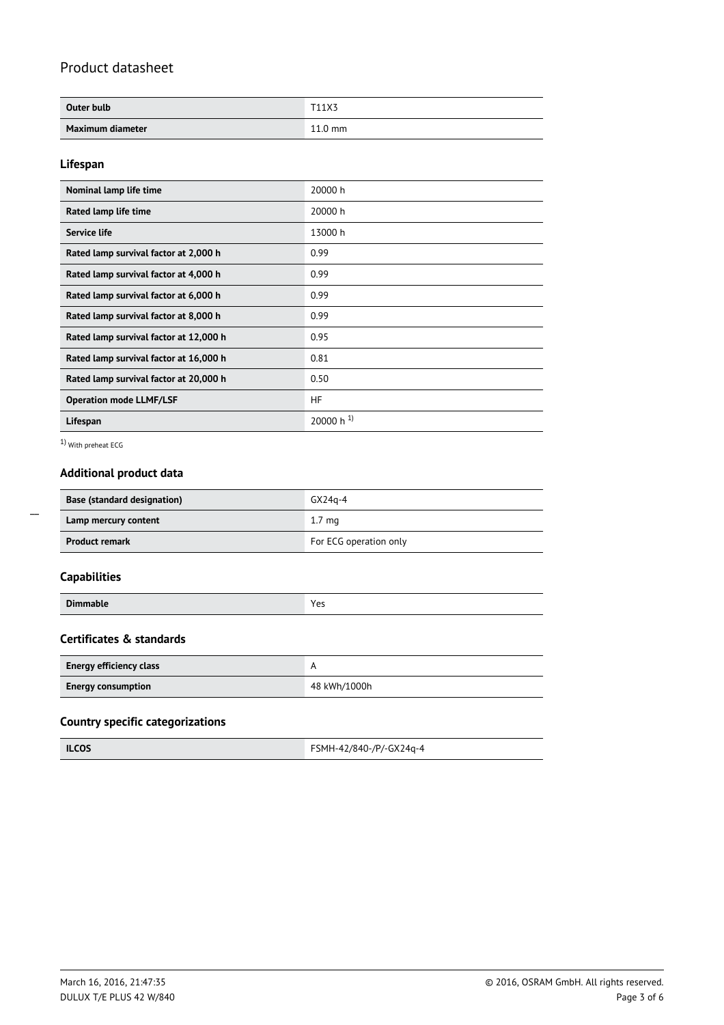| Outer bulb       | T11X3             |
|------------------|-------------------|
| Maximum diameter | $11.0 \text{ mm}$ |

### **Lifespan**

| Nominal lamp life time                 | 20000 h                 |
|----------------------------------------|-------------------------|
| Rated lamp life time                   | 20000 h                 |
| <b>Service life</b>                    | 13000 h                 |
| Rated lamp survival factor at 2,000 h  | 0.99                    |
| Rated lamp survival factor at 4,000 h  | 0.99                    |
| Rated lamp survival factor at 6,000 h  | 0.99                    |
| Rated lamp survival factor at 8,000 h  | 0.99                    |
| Rated lamp survival factor at 12,000 h | 0.95                    |
| Rated lamp survival factor at 16,000 h | 0.81                    |
| Rated lamp survival factor at 20,000 h | 0.50                    |
| <b>Operation mode LLMF/LSF</b>         | HF.                     |
| Lifespan                               | $20000 h$ <sup>1)</sup> |

1) With preheat ECG

# **Additional product data**

| <b>Base (standard designation)</b> | $GX24a-4$              |  |  |
|------------------------------------|------------------------|--|--|
| Lamp mercury content               | 1.7 <sub>ma</sub>      |  |  |
| <b>Product remark</b>              | For ECG operation only |  |  |

# **Capabilities**

 $\overline{a}$ 

| Dir.<br>٠.<br>ш<br>ີ |  |
|----------------------|--|
|----------------------|--|

## **Certificates & standards**

| Energy efficiency class   |              |
|---------------------------|--------------|
| <b>Energy consumption</b> | 48 kWh/1000h |

## **Country specific categorizations**

| <b>ILCOS</b> | FSMH-42/840-/P/-GX24q-4 |
|--------------|-------------------------|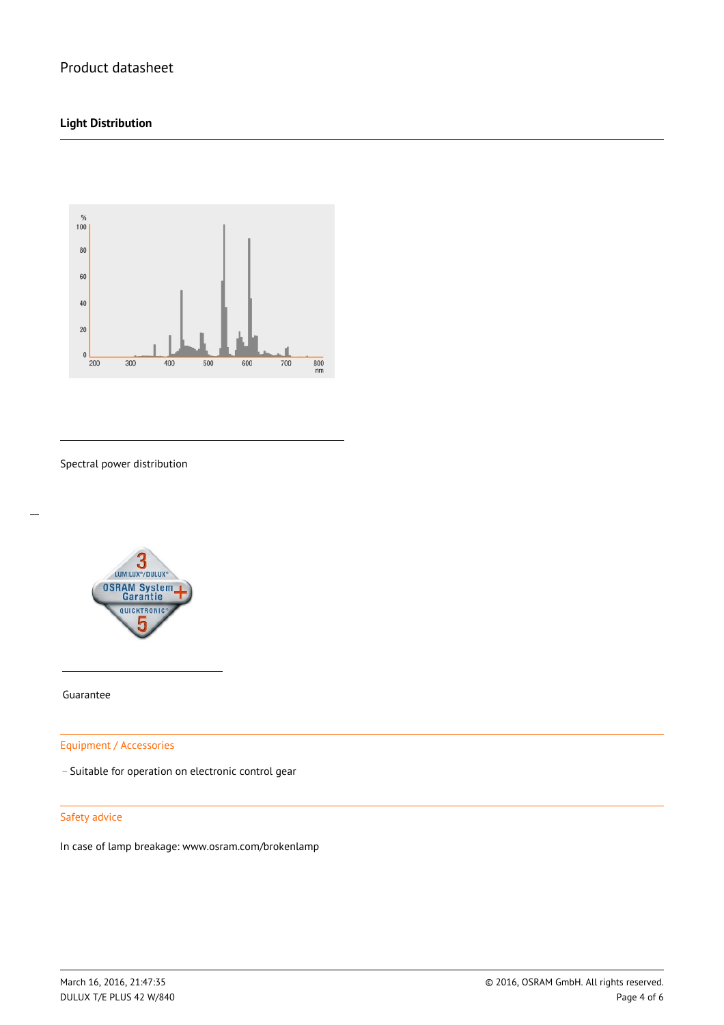## **Light Distribution**



Spectral power distribution



Guarantee

 $\overline{a}$ 

Equipment / Accessories

\_ Suitable for operation on electronic control gear

#### Safety advice

In case of lamp breakage: www.osram.com/brokenlamp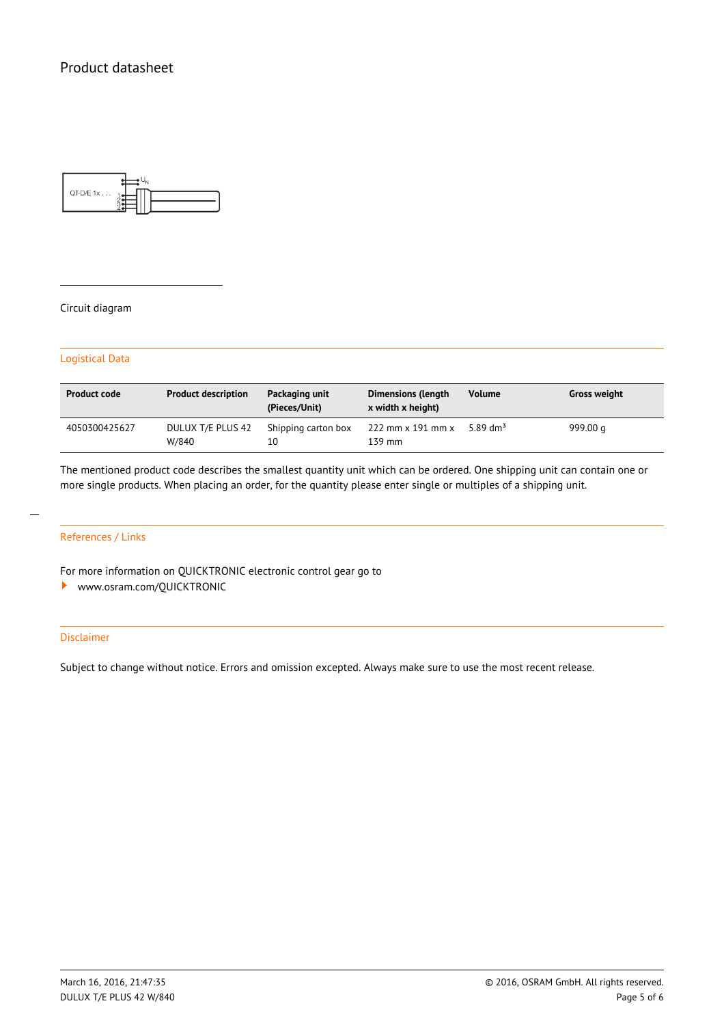

#### Circuit diagram

#### Logistical Data

| <b>Product code</b> | <b>Product description</b> | Packaging unit<br>(Pieces/Unit) | <b>Dimensions (length</b><br>x width x height) | <b>Volume</b>        | <b>Gross weight</b> |
|---------------------|----------------------------|---------------------------------|------------------------------------------------|----------------------|---------------------|
| 4050300425627       | DULUX T/E PLUS 42<br>W/840 | Shipping carton box<br>10       | $222$ mm $\times$ 191 mm $\times$<br>139 mm    | 5.89 dm <sup>3</sup> | 999.00 a            |

The mentioned product code describes the smallest quantity unit which can be ordered. One shipping unit can contain one or more single products. When placing an order, for the quantity please enter single or multiples of a shipping unit.

## References / Links

For more information on QUICKTRONIC electronic control gear go to

<www.osram.com/QUICKTRONIC>

#### Disclaimer

Subject to change without notice. Errors and omission excepted. Always make sure to use the most recent release.